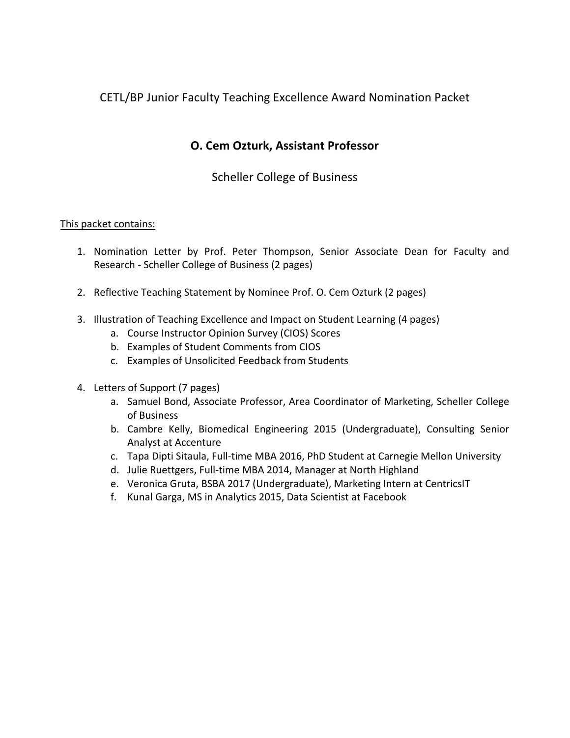## CETL/BP Junior Faculty Teaching Excellence Award Nomination Packet

## **O. Cem Ozturk, Assistant Professor**

### Scheller College of Business

#### This packet contains:

- 1. Nomination Letter by Prof. Peter Thompson, Senior Associate Dean for Faculty and Research - Scheller College of Business (2 pages)
- 2. Reflective Teaching Statement by Nominee Prof. O. Cem Ozturk (2 pages)
- 3. Illustration of Teaching Excellence and Impact on Student Learning (4 pages)
	- a. Course Instructor Opinion Survey (CIOS) Scores
	- b. Examples of Student Comments from CIOS
	- c. Examples of Unsolicited Feedback from Students
- 4. Letters of Support (7 pages)
	- a. Samuel Bond, Associate Professor, Area Coordinator of Marketing, Scheller College of Business
	- b. Cambre Kelly, Biomedical Engineering 2015 (Undergraduate), Consulting Senior Analyst at Accenture
	- c. Tapa Dipti Sitaula, Full-time MBA 2016, PhD Student at Carnegie Mellon University
	- d. Julie Ruettgers, Full-time MBA 2014, Manager at North Highland
	- e. Veronica Gruta, BSBA 2017 (Undergraduate), Marketing Intern at CentricsIT
	- f. Kunal Garga, MS in Analytics 2015, Data Scientist at Facebook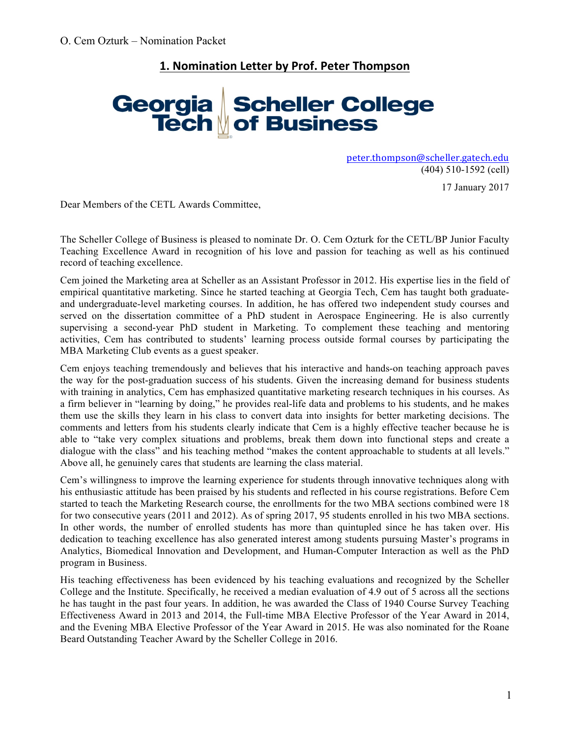# **1. Nomination Letter by Prof. Peter Thompson**

# Georgia Scheller College<br>Tech of Business

peter.thompson@scheller.gatech.edu (404) 510-1592 (cell)

17 January 2017

Dear Members of the CETL Awards Committee,

The Scheller College of Business is pleased to nominate Dr. O. Cem Ozturk for the CETL/BP Junior Faculty Teaching Excellence Award in recognition of his love and passion for teaching as well as his continued record of teaching excellence.

Cem joined the Marketing area at Scheller as an Assistant Professor in 2012. His expertise lies in the field of empirical quantitative marketing. Since he started teaching at Georgia Tech, Cem has taught both graduateand undergraduate-level marketing courses. In addition, he has offered two independent study courses and served on the dissertation committee of a PhD student in Aerospace Engineering. He is also currently supervising a second-year PhD student in Marketing. To complement these teaching and mentoring activities, Cem has contributed to students' learning process outside formal courses by participating the MBA Marketing Club events as a guest speaker.

Cem enjoys teaching tremendously and believes that his interactive and hands-on teaching approach paves the way for the post-graduation success of his students. Given the increasing demand for business students with training in analytics, Cem has emphasized quantitative marketing research techniques in his courses. As a firm believer in "learning by doing," he provides real-life data and problems to his students, and he makes them use the skills they learn in his class to convert data into insights for better marketing decisions. The comments and letters from his students clearly indicate that Cem is a highly effective teacher because he is able to "take very complex situations and problems, break them down into functional steps and create a dialogue with the class" and his teaching method "makes the content approachable to students at all levels." Above all, he genuinely cares that students are learning the class material.

Cem's willingness to improve the learning experience for students through innovative techniques along with his enthusiastic attitude has been praised by his students and reflected in his course registrations. Before Cem started to teach the Marketing Research course, the enrollments for the two MBA sections combined were 18 for two consecutive years (2011 and 2012). As of spring 2017, 95 students enrolled in his two MBA sections. In other words, the number of enrolled students has more than quintupled since he has taken over. His dedication to teaching excellence has also generated interest among students pursuing Master's programs in Analytics, Biomedical Innovation and Development, and Human-Computer Interaction as well as the PhD program in Business.

His teaching effectiveness has been evidenced by his teaching evaluations and recognized by the Scheller College and the Institute. Specifically, he received a median evaluation of 4.9 out of 5 across all the sections he has taught in the past four years. In addition, he was awarded the Class of 1940 Course Survey Teaching Effectiveness Award in 2013 and 2014, the Full-time MBA Elective Professor of the Year Award in 2014, and the Evening MBA Elective Professor of the Year Award in 2015. He was also nominated for the Roane Beard Outstanding Teacher Award by the Scheller College in 2016.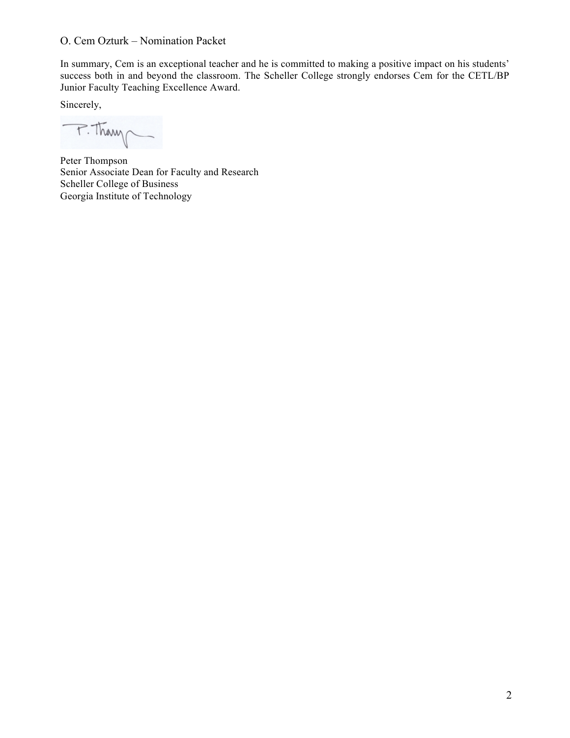In summary, Cem is an exceptional teacher and he is committed to making a positive impact on his students' success both in and beyond the classroom. The Scheller College strongly endorses Cem for the CETL/BP Junior Faculty Teaching Excellence Award.

Sincerely,

P. Thang

Peter Thompson Senior Associate Dean for Faculty and Research Scheller College of Business Georgia Institute of Technology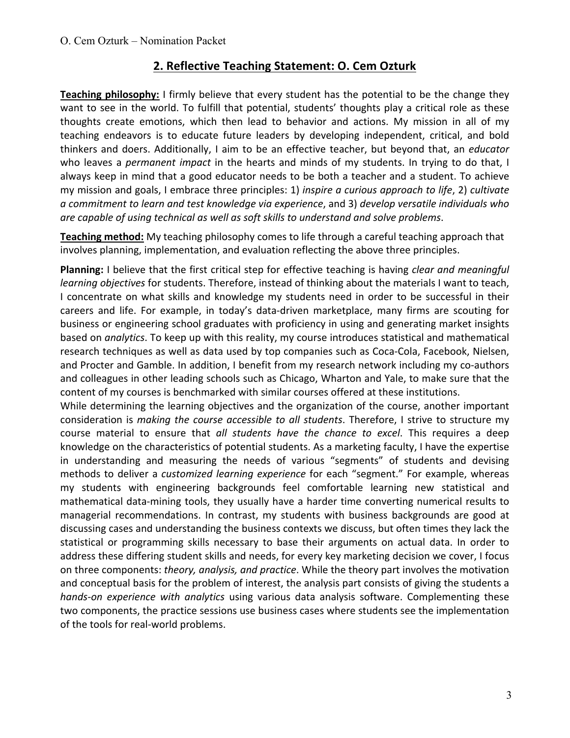## **2. Reflective Teaching Statement: O. Cem Ozturk**

**Teaching philosophy:** I firmly believe that every student has the potential to be the change they want to see in the world. To fulfill that potential, students' thoughts play a critical role as these thoughts create emotions, which then lead to behavior and actions. My mission in all of my teaching endeavors is to educate future leaders by developing independent, critical, and bold thinkers and doers. Additionally, I aim to be an effective teacher, but beyond that, an *educator* who leaves a *permanent impact* in the hearts and minds of my students. In trying to do that, I always keep in mind that a good educator needs to be both a teacher and a student. To achieve my mission and goals, I embrace three principles: 1) *inspire a curious approach to life*, 2) *cultivate* a commitment to learn and test knowledge via experience, and 3) develop versatile individuals who are capable of using technical as well as soft skills to understand and solve problems.

**Teaching method:** My teaching philosophy comes to life through a careful teaching approach that involves planning, implementation, and evaluation reflecting the above three principles.

**Planning:** I believe that the first critical step for effective teaching is having *clear and meaningful learning objectives* for students. Therefore, instead of thinking about the materials I want to teach, I concentrate on what skills and knowledge my students need in order to be successful in their careers and life. For example, in today's data-driven marketplace, many firms are scouting for business or engineering school graduates with proficiency in using and generating market insights based on *analytics*. To keep up with this reality, my course introduces statistical and mathematical research techniques as well as data used by top companies such as Coca-Cola, Facebook, Nielsen, and Procter and Gamble. In addition, I benefit from my research network including my co-authors and colleagues in other leading schools such as Chicago, Wharton and Yale, to make sure that the content of my courses is benchmarked with similar courses offered at these institutions.

While determining the learning objectives and the organization of the course, another important consideration is *making the course accessible to all students*. Therefore, I strive to structure my course material to ensure that all students have the chance to excel. This requires a deep knowledge on the characteristics of potential students. As a marketing faculty, I have the expertise in understanding and measuring the needs of various "segments" of students and devising methods to deliver a *customized learning experience* for each "segment." For example, whereas my students with engineering backgrounds feel comfortable learning new statistical and mathematical data-mining tools, they usually have a harder time converting numerical results to managerial recommendations. In contrast, my students with business backgrounds are good at discussing cases and understanding the business contexts we discuss, but often times they lack the statistical or programming skills necessary to base their arguments on actual data. In order to address these differing student skills and needs, for every key marketing decision we cover, I focus on three components: *theory, analysis, and practice*. While the theory part involves the motivation and conceptual basis for the problem of interest, the analysis part consists of giving the students a *hands-on experience with analytics* using various data analysis software. Complementing these two components, the practice sessions use business cases where students see the implementation of the tools for real-world problems.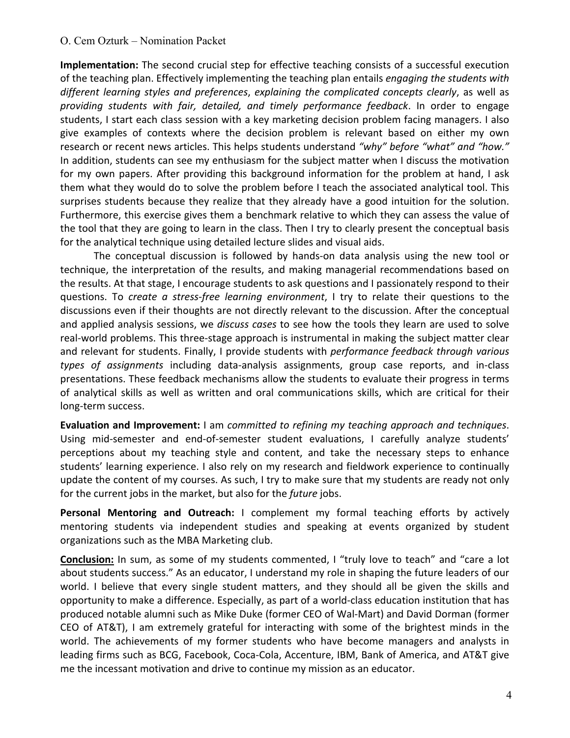**Implementation:** The second crucial step for effective teaching consists of a successful execution of the teaching plan. Effectively implementing the teaching plan entails *engaging the students with* different learning styles and preferences, explaining the complicated concepts clearly, as well as *providing students with fair, detailed, and timely performance feedback*. In order to engage students, I start each class session with a key marketing decision problem facing managers. I also give examples of contexts where the decision problem is relevant based on either my own research or recent news articles. This helps students understand "why" before "what" and "how." In addition, students can see my enthusiasm for the subject matter when I discuss the motivation for my own papers. After providing this background information for the problem at hand, I ask them what they would do to solve the problem before I teach the associated analytical tool. This surprises students because they realize that they already have a good intuition for the solution. Furthermore, this exercise gives them a benchmark relative to which they can assess the value of the tool that they are going to learn in the class. Then I try to clearly present the conceptual basis for the analytical technique using detailed lecture slides and visual aids.

The conceptual discussion is followed by hands-on data analysis using the new tool or technique, the interpretation of the results, and making managerial recommendations based on the results. At that stage, I encourage students to ask questions and I passionately respond to their questions. To *create a stress-free learning environment*, I try to relate their questions to the discussions even if their thoughts are not directly relevant to the discussion. After the conceptual and applied analysis sessions, we *discuss cases* to see how the tools they learn are used to solve real-world problems. This three-stage approach is instrumental in making the subject matter clear and relevant for students. Finally, I provide students with *performance feedback through various types of assignments*  including data-analysis assignments, group case reports, and in-class presentations. These feedback mechanisms allow the students to evaluate their progress in terms of analytical skills as well as written and oral communications skills, which are critical for their long-term success.

**Evaluation and Improvement:** I am *committed to refining my teaching approach and techniques.* Using mid-semester and end-of-semester student evaluations, I carefully analyze students' perceptions about my teaching style and content, and take the necessary steps to enhance students' learning experience. I also rely on my research and fieldwork experience to continually update the content of my courses. As such, I try to make sure that my students are ready not only for the current jobs in the market, but also for the *future* jobs.

**Personal Mentoring and Outreach:** I complement my formal teaching efforts by actively mentoring students via independent studies and speaking at events organized by student organizations such as the MBA Marketing club.

**Conclusion:** In sum, as some of my students commented, I "truly love to teach" and "care a lot about students success." As an educator, I understand my role in shaping the future leaders of our world. I believe that every single student matters, and they should all be given the skills and opportunity to make a difference. Especially, as part of a world-class education institution that has produced notable alumni such as Mike Duke (former CEO of Wal-Mart) and David Dorman (former CEO of AT&T), I am extremely grateful for interacting with some of the brightest minds in the world. The achievements of my former students who have become managers and analysts in leading firms such as BCG, Facebook, Coca-Cola, Accenture, IBM, Bank of America, and AT&T give me the incessant motivation and drive to continue my mission as an educator.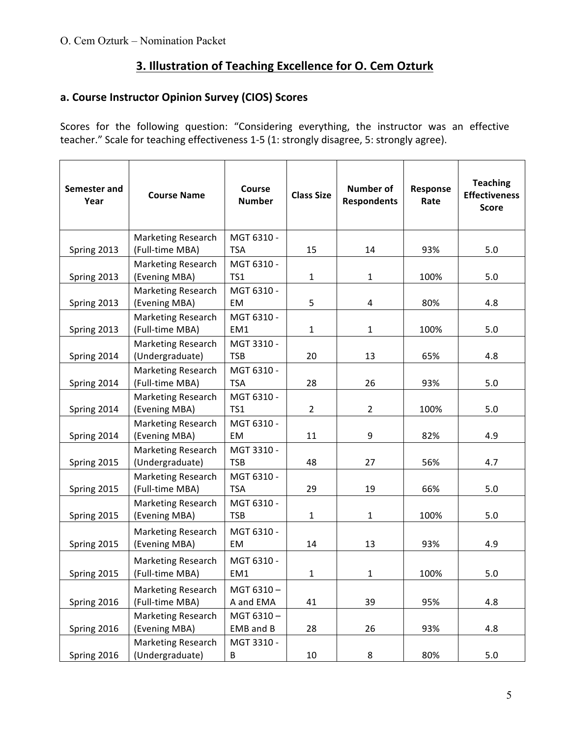# **3. Illustration of Teaching Excellence for O. Cem Ozturk**

#### a. Course Instructor Opinion Survey (CIOS) Scores

Scores for the following question: "Considering everything, the instructor was an effective teacher." Scale for teaching effectiveness 1-5 (1: strongly disagree, 5: strongly agree).

| Semester and<br>Year | <b>Course Name</b>                           | <b>Course</b><br><b>Number</b> | <b>Class Size</b> | <b>Number of</b><br><b>Respondents</b> | Response<br>Rate | <b>Teaching</b><br><b>Effectiveness</b><br><b>Score</b> |
|----------------------|----------------------------------------------|--------------------------------|-------------------|----------------------------------------|------------------|---------------------------------------------------------|
| Spring 2013          | Marketing Research<br>(Full-time MBA)        | MGT 6310 -<br><b>TSA</b>       | 15                | 14                                     | 93%              | 5.0                                                     |
| Spring 2013          | <b>Marketing Research</b><br>(Evening MBA)   | MGT 6310 -<br>TS1              | $\mathbf{1}$      | $\mathbf{1}$                           | 100%             | 5.0                                                     |
| Spring 2013          | <b>Marketing Research</b><br>(Evening MBA)   | MGT 6310 -<br>EM               | 5                 | $\overline{4}$                         | 80%              | 4.8                                                     |
| Spring 2013          | <b>Marketing Research</b><br>(Full-time MBA) | MGT 6310 -<br>EM1              | 1                 | $\mathbf{1}$                           | 100%             | 5.0                                                     |
| Spring 2014          | <b>Marketing Research</b><br>(Undergraduate) | MGT 3310 -<br><b>TSB</b>       | 20                | 13                                     | 65%              | 4.8                                                     |
| Spring 2014          | <b>Marketing Research</b><br>(Full-time MBA) | MGT 6310 -<br><b>TSA</b>       | 28                | 26                                     | 93%              | 5.0                                                     |
| Spring 2014          | <b>Marketing Research</b><br>(Evening MBA)   | MGT 6310 -<br>TS1              | $\overline{2}$    | $\overline{2}$                         | 100%             | 5.0                                                     |
| Spring 2014          | <b>Marketing Research</b><br>(Evening MBA)   | MGT 6310 -<br>EM               | 11                | 9                                      | 82%              | 4.9                                                     |
| Spring 2015          | <b>Marketing Research</b><br>(Undergraduate) | MGT 3310 -<br><b>TSB</b>       | 48                | 27                                     | 56%              | 4.7                                                     |
| Spring 2015          | <b>Marketing Research</b><br>(Full-time MBA) | MGT 6310 -<br><b>TSA</b>       | 29                | 19                                     | 66%              | 5.0                                                     |
| Spring 2015          | <b>Marketing Research</b><br>(Evening MBA)   | MGT 6310 -<br><b>TSB</b>       | $\mathbf{1}$      | $\mathbf{1}$                           | 100%             | 5.0                                                     |
| Spring 2015          | Marketing Research<br>(Evening MBA)          | MGT 6310 -<br>EM               | 14                | 13                                     | 93%              | 4.9                                                     |
| Spring 2015          | <b>Marketing Research</b><br>(Full-time MBA) | MGT 6310 -<br>EM1              | $\mathbf{1}$      | $\mathbf 1$                            | 100%             | 5.0                                                     |
| Spring 2016          | <b>Marketing Research</b><br>(Full-time MBA) | MGT 6310-<br>A and EMA         | 41                | 39                                     | 95%              | 4.8                                                     |
| Spring 2016          | Marketing Research<br>(Evening MBA)          | MGT 6310-<br>EMB and B         | 28                | 26                                     | 93%              | 4.8                                                     |
| Spring 2016          | <b>Marketing Research</b><br>(Undergraduate) | MGT 3310 -<br>В                | 10                | 8                                      | 80%              | 5.0                                                     |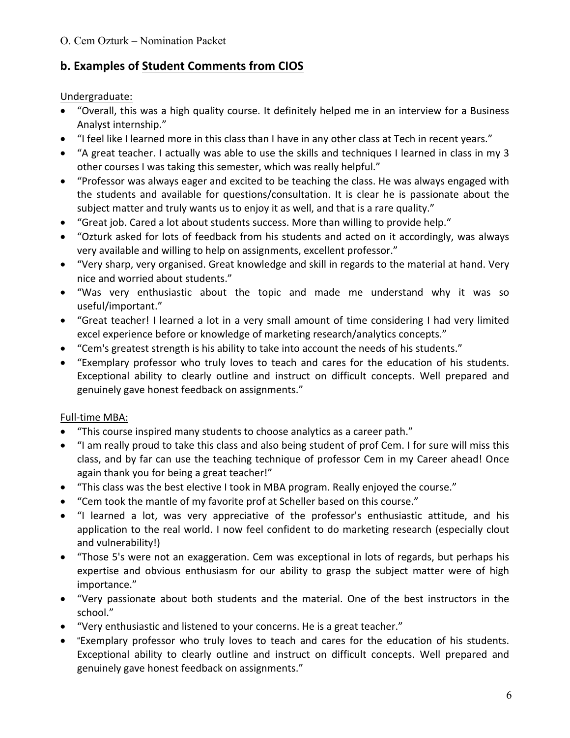# **b. Examples of Student Comments from CIOS**

#### Undergraduate:

- "Overall, this was a high quality course. It definitely helped me in an interview for a Business Analyst internship."
- "I feel like I learned more in this class than I have in any other class at Tech in recent years."
- "A great teacher. I actually was able to use the skills and techniques I learned in class in my 3 other courses I was taking this semester, which was really helpful."
- "Professor was always eager and excited to be teaching the class. He was always engaged with the students and available for questions/consultation. It is clear he is passionate about the subject matter and truly wants us to enjoy it as well, and that is a rare quality."
- "Great job. Cared a lot about students success. More than willing to provide help."
- "Ozturk asked for lots of feedback from his students and acted on it accordingly, was always very available and willing to help on assignments, excellent professor."
- "Very sharp, very organised. Great knowledge and skill in regards to the material at hand. Very nice and worried about students."
- "Was very enthusiastic about the topic and made me understand why it was so useful/important."
- "Great teacher! I learned a lot in a very small amount of time considering I had very limited excel experience before or knowledge of marketing research/analytics concepts."
- "Cem's greatest strength is his ability to take into account the needs of his students."
- "Exemplary professor who truly loves to teach and cares for the education of his students. Exceptional ability to clearly outline and instruct on difficult concepts. Well prepared and genuinely gave honest feedback on assignments."

## Full-time MBA:

- "This course inspired many students to choose analytics as a career path."
- "I am really proud to take this class and also being student of prof Cem. I for sure will miss this class, and by far can use the teaching technique of professor Cem in my Career ahead! Once again thank you for being a great teacher!"
- "This class was the best elective I took in MBA program. Really enjoyed the course."
- "Cem took the mantle of my favorite prof at Scheller based on this course."
- "I learned a lot, was very appreciative of the professor's enthusiastic attitude, and his application to the real world. I now feel confident to do marketing research (especially clout and vulnerability!)
- "Those 5's were not an exaggeration. Cem was exceptional in lots of regards, but perhaps his expertise and obvious enthusiasm for our ability to grasp the subject matter were of high importance."
- "Very passionate about both students and the material. One of the best instructors in the school."
- "Very enthusiastic and listened to your concerns. He is a great teacher."
- "Exemplary professor who truly loves to teach and cares for the education of his students. Exceptional ability to clearly outline and instruct on difficult concepts. Well prepared and genuinely gave honest feedback on assignments."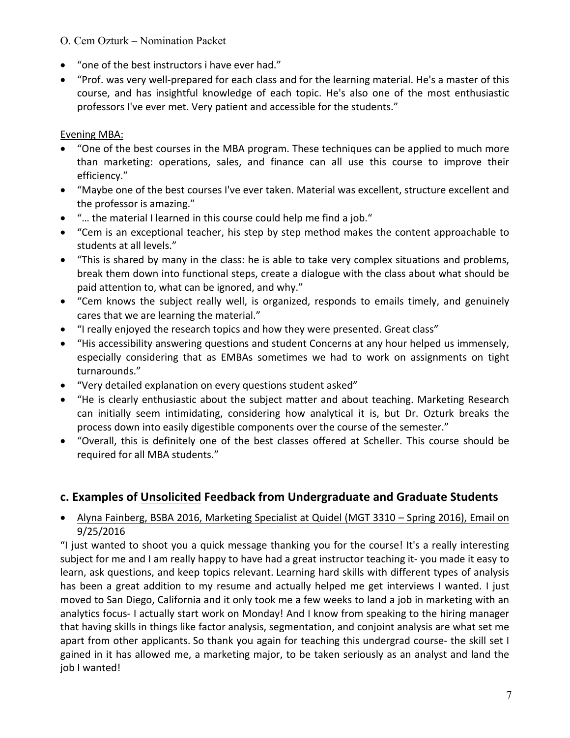- "one of the best instructors i have ever had."
- "Prof. was very well-prepared for each class and for the learning material. He's a master of this course, and has insightful knowledge of each topic. He's also one of the most enthusiastic professors I've ever met. Very patient and accessible for the students."

#### Evening MBA:

- "One of the best courses in the MBA program. These techniques can be applied to much more than marketing: operations, sales, and finance can all use this course to improve their efficiency."
- "Maybe one of the best courses I've ever taken. Material was excellent, structure excellent and the professor is amazing."
- "... the material I learned in this course could help me find a job."
- "Cem is an exceptional teacher, his step by step method makes the content approachable to students at all levels."
- "This is shared by many in the class: he is able to take very complex situations and problems, break them down into functional steps, create a dialogue with the class about what should be paid attention to, what can be ignored, and why."
- "Cem knows the subject really well, is organized, responds to emails timely, and genuinely cares that we are learning the material."
- "I really enjoyed the research topics and how they were presented. Great class"
- "His accessibility answering questions and student Concerns at any hour helped us immensely, especially considering that as EMBAs sometimes we had to work on assignments on tight turnarounds."
- "Very detailed explanation on every questions student asked"
- "He is clearly enthusiastic about the subject matter and about teaching. Marketing Research can initially seem intimidating, considering how analytical it is, but Dr. Ozturk breaks the process down into easily digestible components over the course of the semester."
- "Overall, this is definitely one of the best classes offered at Scheller. This course should be required for all MBA students."

# **c. Examples of Unsolicited Feedback from Undergraduate and Graduate Students**

#### • Alyna Fainberg, BSBA 2016, Marketing Specialist at Quidel (MGT 3310 – Spring 2016), Email on 9/25/2016

"I just wanted to shoot you a quick message thanking you for the course! It's a really interesting subject for me and I am really happy to have had a great instructor teaching it- you made it easy to learn, ask questions, and keep topics relevant. Learning hard skills with different types of analysis has been a great addition to my resume and actually helped me get interviews I wanted. I just moved to San Diego, California and it only took me a few weeks to land a job in marketing with an analytics focus- I actually start work on Monday! And I know from speaking to the hiring manager that having skills in things like factor analysis, segmentation, and conjoint analysis are what set me apart from other applicants. So thank you again for teaching this undergrad course- the skill set I gained in it has allowed me, a marketing major, to be taken seriously as an analyst and land the job I wanted!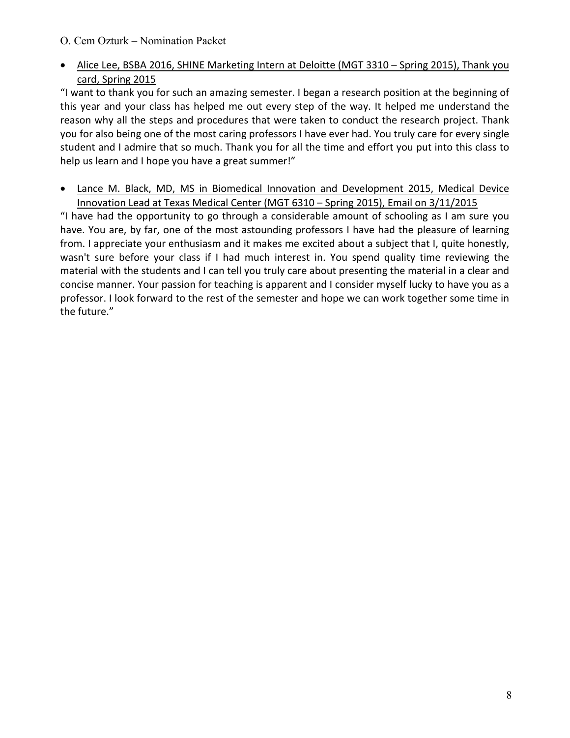#### • Alice Lee, BSBA 2016, SHINE Marketing Intern at Deloitte (MGT 3310 - Spring 2015), Thank you card, Spring 2015

"I want to thank you for such an amazing semester. I began a research position at the beginning of this year and your class has helped me out every step of the way. It helped me understand the reason why all the steps and procedures that were taken to conduct the research project. Thank you for also being one of the most caring professors I have ever had. You truly care for every single student and I admire that so much. Thank you for all the time and effort you put into this class to help us learn and I hope you have a great summer!"

• Lance M. Black, MD, MS in Biomedical Innovation and Development 2015, Medical Device Innovation Lead at Texas Medical Center (MGT 6310 – Spring 2015), Email on 3/11/2015

"I have had the opportunity to go through a considerable amount of schooling as I am sure you have. You are, by far, one of the most astounding professors I have had the pleasure of learning from. I appreciate your enthusiasm and it makes me excited about a subject that I, quite honestly, wasn't sure before your class if I had much interest in. You spend quality time reviewing the material with the students and I can tell you truly care about presenting the material in a clear and concise manner. Your passion for teaching is apparent and I consider myself lucky to have you as a professor. I look forward to the rest of the semester and hope we can work together some time in the future."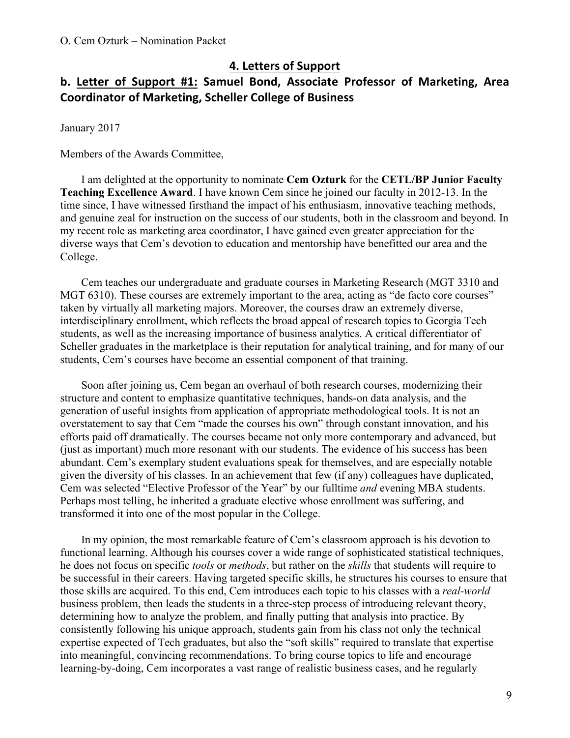#### **4. Letters of Support**

## **b.** Letter of Support #1: Samuel Bond, Associate Professor of Marketing, Area **Coordinator of Marketing, Scheller College of Business**

January 2017

Members of the Awards Committee,

I am delighted at the opportunity to nominate **Cem Ozturk** for the **CETL/BP Junior Faculty Teaching Excellence Award**. I have known Cem since he joined our faculty in 2012-13. In the time since, I have witnessed firsthand the impact of his enthusiasm, innovative teaching methods, and genuine zeal for instruction on the success of our students, both in the classroom and beyond. In my recent role as marketing area coordinator, I have gained even greater appreciation for the diverse ways that Cem's devotion to education and mentorship have benefitted our area and the College.

Cem teaches our undergraduate and graduate courses in Marketing Research (MGT 3310 and MGT 6310). These courses are extremely important to the area, acting as "de facto core courses" taken by virtually all marketing majors. Moreover, the courses draw an extremely diverse, interdisciplinary enrollment, which reflects the broad appeal of research topics to Georgia Tech students, as well as the increasing importance of business analytics. A critical differentiator of Scheller graduates in the marketplace is their reputation for analytical training, and for many of our students, Cem's courses have become an essential component of that training.

Soon after joining us, Cem began an overhaul of both research courses, modernizing their structure and content to emphasize quantitative techniques, hands-on data analysis, and the generation of useful insights from application of appropriate methodological tools. It is not an overstatement to say that Cem "made the courses his own" through constant innovation, and his efforts paid off dramatically. The courses became not only more contemporary and advanced, but (just as important) much more resonant with our students. The evidence of his success has been abundant. Cem's exemplary student evaluations speak for themselves, and are especially notable given the diversity of his classes. In an achievement that few (if any) colleagues have duplicated, Cem was selected "Elective Professor of the Year" by our fulltime *and* evening MBA students. Perhaps most telling, he inherited a graduate elective whose enrollment was suffering, and transformed it into one of the most popular in the College.

In my opinion, the most remarkable feature of Cem's classroom approach is his devotion to functional learning. Although his courses cover a wide range of sophisticated statistical techniques, he does not focus on specific *tools* or *methods*, but rather on the *skills* that students will require to be successful in their careers. Having targeted specific skills, he structures his courses to ensure that those skills are acquired. To this end, Cem introduces each topic to his classes with a *real-world*  business problem, then leads the students in a three-step process of introducing relevant theory, determining how to analyze the problem, and finally putting that analysis into practice. By consistently following his unique approach, students gain from his class not only the technical expertise expected of Tech graduates, but also the "soft skills" required to translate that expertise into meaningful, convincing recommendations. To bring course topics to life and encourage learning-by-doing, Cem incorporates a vast range of realistic business cases, and he regularly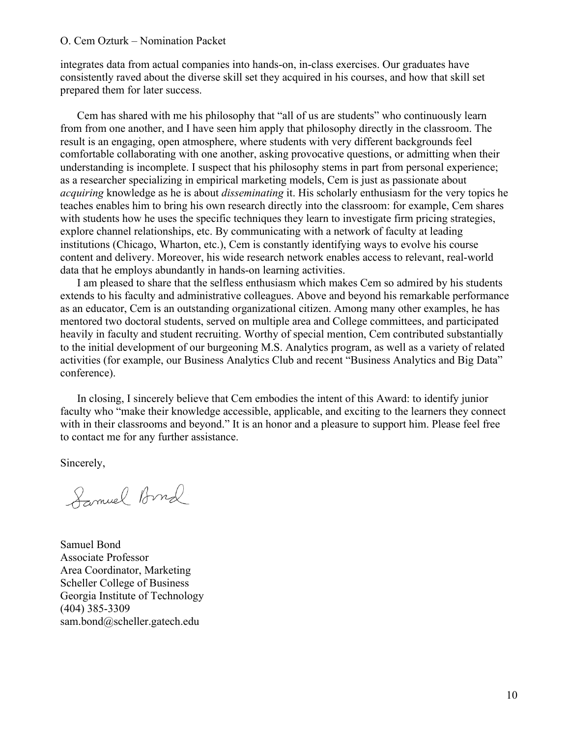integrates data from actual companies into hands-on, in-class exercises. Our graduates have consistently raved about the diverse skill set they acquired in his courses, and how that skill set prepared them for later success.

Cem has shared with me his philosophy that "all of us are students" who continuously learn from from one another, and I have seen him apply that philosophy directly in the classroom. The result is an engaging, open atmosphere, where students with very different backgrounds feel comfortable collaborating with one another, asking provocative questions, or admitting when their understanding is incomplete. I suspect that his philosophy stems in part from personal experience; as a researcher specializing in empirical marketing models, Cem is just as passionate about *acquiring* knowledge as he is about *disseminating* it. His scholarly enthusiasm for the very topics he teaches enables him to bring his own research directly into the classroom: for example, Cem shares with students how he uses the specific techniques they learn to investigate firm pricing strategies, explore channel relationships, etc. By communicating with a network of faculty at leading institutions (Chicago, Wharton, etc.), Cem is constantly identifying ways to evolve his course content and delivery. Moreover, his wide research network enables access to relevant, real-world data that he employs abundantly in hands-on learning activities.

I am pleased to share that the selfless enthusiasm which makes Cem so admired by his students extends to his faculty and administrative colleagues. Above and beyond his remarkable performance as an educator, Cem is an outstanding organizational citizen. Among many other examples, he has mentored two doctoral students, served on multiple area and College committees, and participated heavily in faculty and student recruiting. Worthy of special mention, Cem contributed substantially to the initial development of our burgeoning M.S. Analytics program, as well as a variety of related activities (for example, our Business Analytics Club and recent "Business Analytics and Big Data" conference).

In closing, I sincerely believe that Cem embodies the intent of this Award: to identify junior faculty who "make their knowledge accessible, applicable, and exciting to the learners they connect with in their classrooms and beyond." It is an honor and a pleasure to support him. Please feel free to contact me for any further assistance.

Sincerely,

Samuel Bond

Samuel Bond Associate Professor Area Coordinator, Marketing Scheller College of Business Georgia Institute of Technology (404) 385-3309 sam.bond@scheller.gatech.edu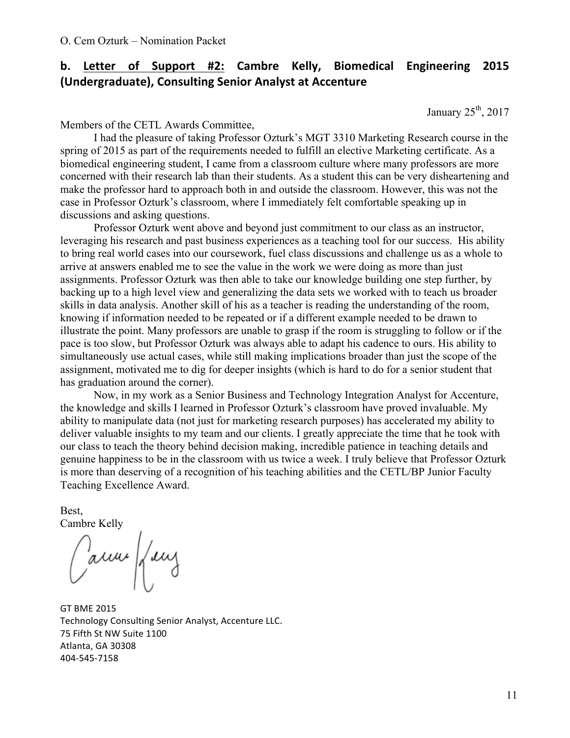# **b.** Letter of Support #2: Cambre Kelly, Biomedical Engineering 2015 (Undergraduate), Consulting Senior Analyst at Accenture

January  $25<sup>th</sup>$ , 2017

Members of the CETL Awards Committee,

I had the pleasure of taking Professor Ozturk's MGT 3310 Marketing Research course in the spring of 2015 as part of the requirements needed to fulfill an elective Marketing certificate. As a biomedical engineering student, I came from a classroom culture where many professors are more concerned with their research lab than their students. As a student this can be very disheartening and make the professor hard to approach both in and outside the classroom. However, this was not the case in Professor Ozturk's classroom, where I immediately felt comfortable speaking up in discussions and asking questions.

Professor Ozturk went above and beyond just commitment to our class as an instructor, leveraging his research and past business experiences as a teaching tool for our success. His ability to bring real world cases into our coursework, fuel class discussions and challenge us as a whole to arrive at answers enabled me to see the value in the work we were doing as more than just assignments. Professor Ozturk was then able to take our knowledge building one step further, by backing up to a high level view and generalizing the data sets we worked with to teach us broader skills in data analysis. Another skill of his as a teacher is reading the understanding of the room, knowing if information needed to be repeated or if a different example needed to be drawn to illustrate the point. Many professors are unable to grasp if the room is struggling to follow or if the pace is too slow, but Professor Ozturk was always able to adapt his cadence to ours. His ability to simultaneously use actual cases, while still making implications broader than just the scope of the assignment, motivated me to dig for deeper insights (which is hard to do for a senior student that has graduation around the corner).

Now, in my work as a Senior Business and Technology Integration Analyst for Accenture, the knowledge and skills I learned in Professor Ozturk's classroom have proved invaluable. My ability to manipulate data (not just for marketing research purposes) has accelerated my ability to deliver valuable insights to my team and our clients. I greatly appreciate the time that he took with our class to teach the theory behind decision making, incredible patience in teaching details and genuine happiness to be in the classroom with us twice a week. I truly believe that Professor Ozturk is more than deserving of a recognition of his teaching abilities and the CETL/BP Junior Faculty Teaching Excellence Award.

Best, Cambre Kelly

Carrier frey

**GT BME 2015** Technology Consulting Senior Analyst, Accenture LLC. 75 Fifth St NW Suite 1100 Atlanta, GA 30308 404-545-7158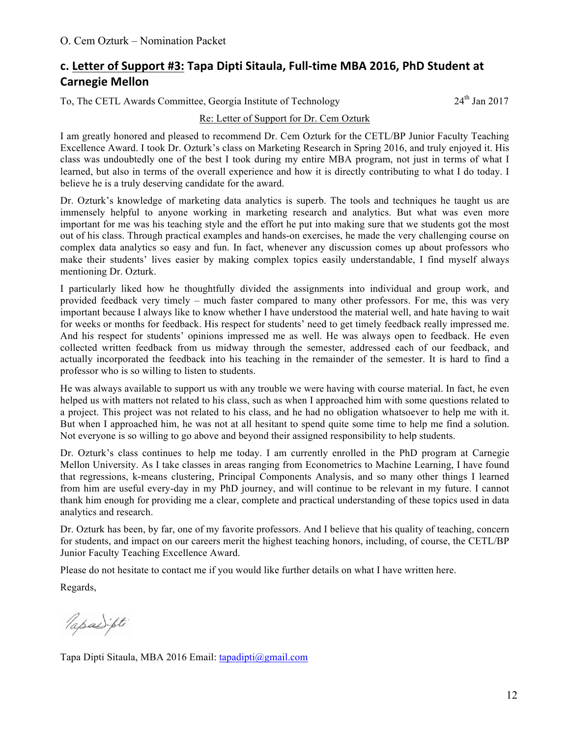## **c. Letter of Support #3: Tapa Dipti Sitaula, Full-time MBA 2016, PhD Student at Carnegie Mellon**

To, The CETL Awards Committee, Georgia Institute of Technology 24<sup>th</sup> Jan 2017

#### Re: Letter of Support for Dr. Cem Ozturk

I am greatly honored and pleased to recommend Dr. Cem Ozturk for the CETL/BP Junior Faculty Teaching Excellence Award. I took Dr. Ozturk's class on Marketing Research in Spring 2016, and truly enjoyed it. His class was undoubtedly one of the best I took during my entire MBA program, not just in terms of what I learned, but also in terms of the overall experience and how it is directly contributing to what I do today. I believe he is a truly deserving candidate for the award.

Dr. Ozturk's knowledge of marketing data analytics is superb. The tools and techniques he taught us are immensely helpful to anyone working in marketing research and analytics. But what was even more important for me was his teaching style and the effort he put into making sure that we students got the most out of his class. Through practical examples and hands-on exercises, he made the very challenging course on complex data analytics so easy and fun. In fact, whenever any discussion comes up about professors who make their students' lives easier by making complex topics easily understandable, I find myself always mentioning Dr. Ozturk.

I particularly liked how he thoughtfully divided the assignments into individual and group work, and provided feedback very timely – much faster compared to many other professors. For me, this was very important because I always like to know whether I have understood the material well, and hate having to wait for weeks or months for feedback. His respect for students' need to get timely feedback really impressed me. And his respect for students' opinions impressed me as well. He was always open to feedback. He even collected written feedback from us midway through the semester, addressed each of our feedback, and actually incorporated the feedback into his teaching in the remainder of the semester. It is hard to find a professor who is so willing to listen to students.

He was always available to support us with any trouble we were having with course material. In fact, he even helped us with matters not related to his class, such as when I approached him with some questions related to a project. This project was not related to his class, and he had no obligation whatsoever to help me with it. But when I approached him, he was not at all hesitant to spend quite some time to help me find a solution. Not everyone is so willing to go above and beyond their assigned responsibility to help students.

Dr. Ozturk's class continues to help me today. I am currently enrolled in the PhD program at Carnegie Mellon University. As I take classes in areas ranging from Econometrics to Machine Learning, I have found that regressions, k-means clustering, Principal Components Analysis, and so many other things I learned from him are useful every-day in my PhD journey, and will continue to be relevant in my future. I cannot thank him enough for providing me a clear, complete and practical understanding of these topics used in data analytics and research.

Dr. Ozturk has been, by far, one of my favorite professors. And I believe that his quality of teaching, concern for students, and impact on our careers merit the highest teaching honors, including, of course, the CETL/BP Junior Faculty Teaching Excellence Award.

Please do not hesitate to contact me if you would like further details on what I have written here.

Regards,

Papaipti

Tapa Dipti Sitaula, MBA 2016 Email: tapadipti@gmail.com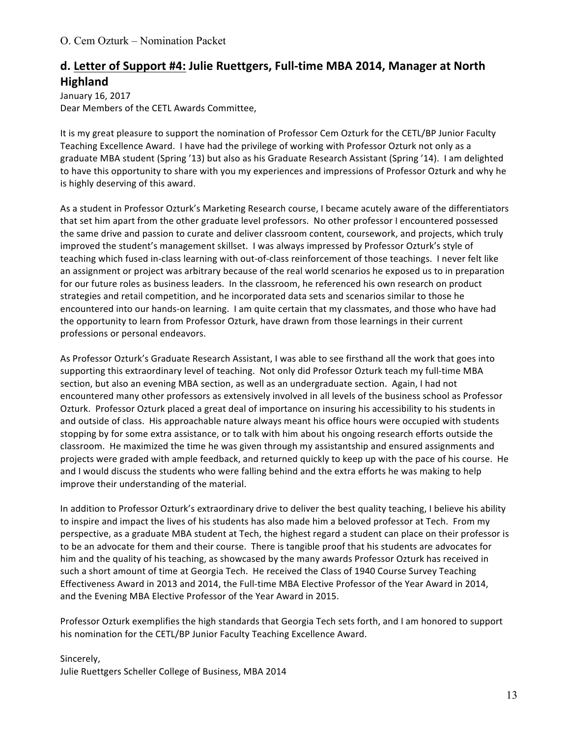## **d. Letter of Support #4: Julie Ruettgers, Full-time MBA 2014, Manager at North Highland**

January 16, 2017 Dear Members of the CETL Awards Committee,

It is my great pleasure to support the nomination of Professor Cem Ozturk for the CETL/BP Junior Faculty Teaching Excellence Award. I have had the privilege of working with Professor Ozturk not only as a graduate MBA student (Spring '13) but also as his Graduate Research Assistant (Spring '14). I am delighted to have this opportunity to share with you my experiences and impressions of Professor Ozturk and why he is highly deserving of this award.

As a student in Professor Ozturk's Marketing Research course, I became acutely aware of the differentiators that set him apart from the other graduate level professors. No other professor I encountered possessed the same drive and passion to curate and deliver classroom content, coursework, and projects, which truly improved the student's management skillset. I was always impressed by Professor Ozturk's style of teaching which fused in-class learning with out-of-class reinforcement of those teachings. I never felt like an assignment or project was arbitrary because of the real world scenarios he exposed us to in preparation for our future roles as business leaders. In the classroom, he referenced his own research on product strategies and retail competition, and he incorporated data sets and scenarios similar to those he encountered into our hands-on learning. I am quite certain that my classmates, and those who have had the opportunity to learn from Professor Ozturk, have drawn from those learnings in their current professions or personal endeavors.

As Professor Ozturk's Graduate Research Assistant, I was able to see firsthand all the work that goes into supporting this extraordinary level of teaching. Not only did Professor Ozturk teach my full-time MBA section, but also an evening MBA section, as well as an undergraduate section. Again, I had not encountered many other professors as extensively involved in all levels of the business school as Professor Ozturk. Professor Ozturk placed a great deal of importance on insuring his accessibility to his students in and outside of class. His approachable nature always meant his office hours were occupied with students stopping by for some extra assistance, or to talk with him about his ongoing research efforts outside the classroom. He maximized the time he was given through my assistantship and ensured assignments and projects were graded with ample feedback, and returned quickly to keep up with the pace of his course. He and I would discuss the students who were falling behind and the extra efforts he was making to help improve their understanding of the material.

In addition to Professor Ozturk's extraordinary drive to deliver the best quality teaching, I believe his ability to inspire and impact the lives of his students has also made him a beloved professor at Tech. From my perspective, as a graduate MBA student at Tech, the highest regard a student can place on their professor is to be an advocate for them and their course. There is tangible proof that his students are advocates for him and the quality of his teaching, as showcased by the many awards Professor Ozturk has received in such a short amount of time at Georgia Tech. He received the Class of 1940 Course Survey Teaching Effectiveness Award in 2013 and 2014, the Full-time MBA Elective Professor of the Year Award in 2014, and the Evening MBA Elective Professor of the Year Award in 2015.

Professor Ozturk exemplifies the high standards that Georgia Tech sets forth, and I am honored to support his nomination for the CETL/BP Junior Faculty Teaching Excellence Award.

Sincerely, Julie Ruettgers Scheller College of Business, MBA 2014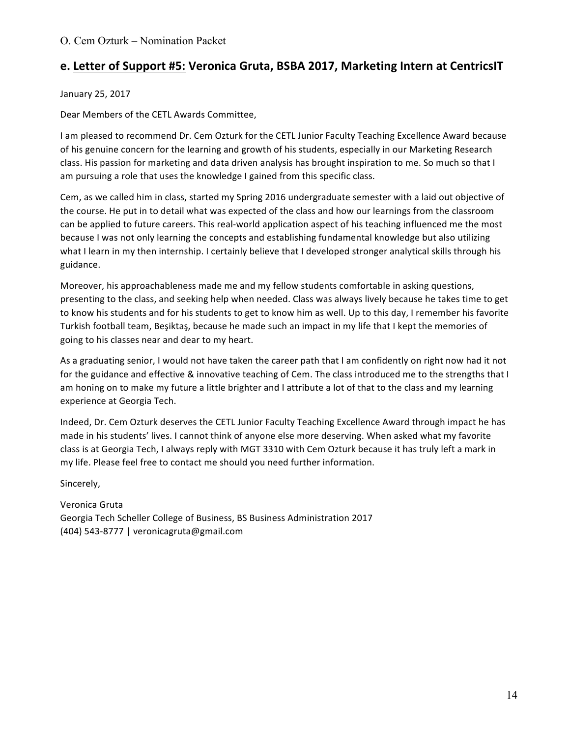## **e. Letter of Support #5: Veronica Gruta, BSBA 2017, Marketing Intern at CentricsIT**

January 25, 2017

Dear Members of the CETL Awards Committee,

I am pleased to recommend Dr. Cem Ozturk for the CETL Junior Faculty Teaching Excellence Award because of his genuine concern for the learning and growth of his students, especially in our Marketing Research class. His passion for marketing and data driven analysis has brought inspiration to me. So much so that I am pursuing a role that uses the knowledge I gained from this specific class.

Cem, as we called him in class, started my Spring 2016 undergraduate semester with a laid out objective of the course. He put in to detail what was expected of the class and how our learnings from the classroom can be applied to future careers. This real-world application aspect of his teaching influenced me the most because I was not only learning the concepts and establishing fundamental knowledge but also utilizing what I learn in my then internship. I certainly believe that I developed stronger analytical skills through his guidance.

Moreover, his approachableness made me and my fellow students comfortable in asking questions, presenting to the class, and seeking help when needed. Class was always lively because he takes time to get to know his students and for his students to get to know him as well. Up to this day, I remember his favorite Turkish football team, Beşiktaş, because he made such an impact in my life that I kept the memories of going to his classes near and dear to my heart.

As a graduating senior, I would not have taken the career path that I am confidently on right now had it not for the guidance and effective & innovative teaching of Cem. The class introduced me to the strengths that I am honing on to make my future a little brighter and I attribute a lot of that to the class and my learning experience at Georgia Tech.

Indeed, Dr. Cem Ozturk deserves the CETL Junior Faculty Teaching Excellence Award through impact he has made in his students' lives. I cannot think of anyone else more deserving. When asked what my favorite class is at Georgia Tech, I always reply with MGT 3310 with Cem Ozturk because it has truly left a mark in my life. Please feel free to contact me should you need further information.

Sincerely,

Veronica Gruta Georgia Tech Scheller College of Business, BS Business Administration 2017 (404) 543-8777 | veronicagruta@gmail.com